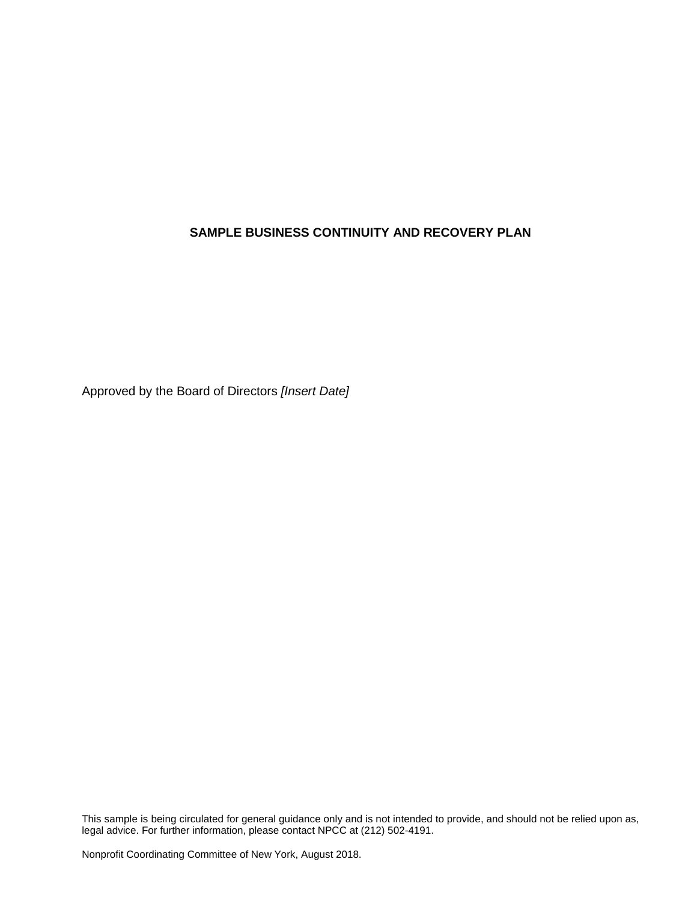Approved by the Board of Directors *[Insert Date]*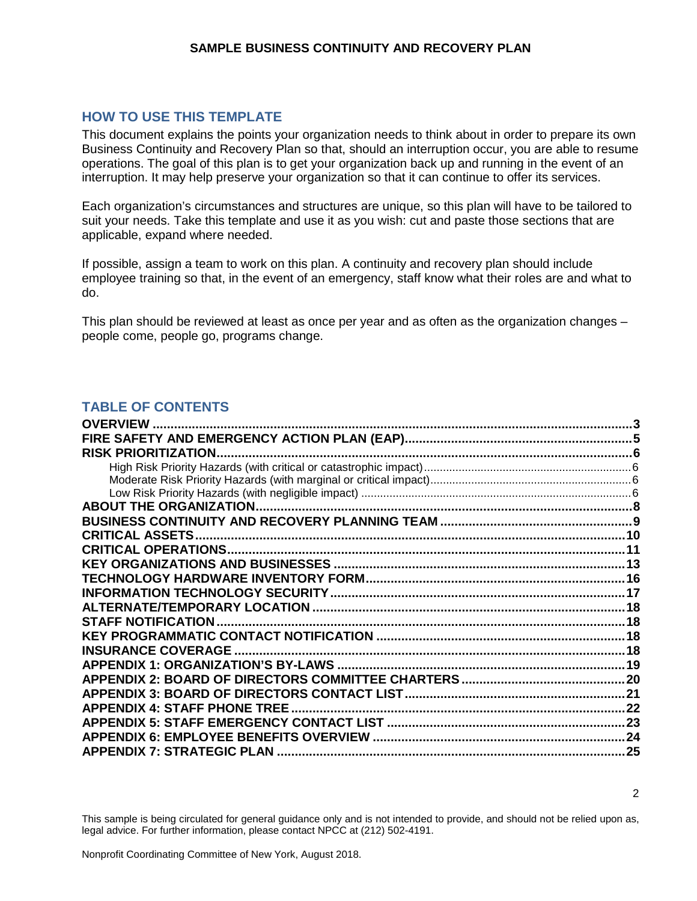### **HOW TO USE THIS TEMPLATE**

This document explains the points your organization needs to think about in order to prepare its own Business Continuity and Recovery Plan so that, should an interruption occur, you are able to resume operations. The goal of this plan is to get your organization back up and running in the event of an interruption. It may help preserve your organization so that it can continue to offer its services.

Each organization's circumstances and structures are unique, so this plan will have to be tailored to suit your needs. Take this template and use it as you wish: cut and paste those sections that are applicable, expand where needed.

If possible, assign a team to work on this plan. A continuity and recovery plan should include employee training so that, in the event of an emergency, staff know what their roles are and what to do.

This plan should be reviewed at least as once per year and as often as the organization changes – people come, people go, programs change.

### **TABLE OF CONTENTS**

| <b>OVERVIEW</b>                     |     |
|-------------------------------------|-----|
|                                     |     |
| <b>RISK PRIORITIZATION.</b>         |     |
|                                     |     |
|                                     |     |
|                                     |     |
| <b>ABOUT THE ORGANIZATION.</b>      |     |
|                                     |     |
| <b>CRITICAL ASSETS.</b>             | .10 |
|                                     |     |
|                                     |     |
|                                     |     |
|                                     |     |
|                                     |     |
| <b>STAFF NOTIFICATION</b>           |     |
|                                     |     |
| <b>INSURANCE COVERAGE.</b>          |     |
|                                     |     |
|                                     |     |
|                                     |     |
| <b>APPENDIX 4: STAFF PHONE TREE</b> |     |
|                                     |     |
|                                     | .24 |
| <b>APPENDIX 7: STRATEGIC PLAN</b>   | 25  |
|                                     |     |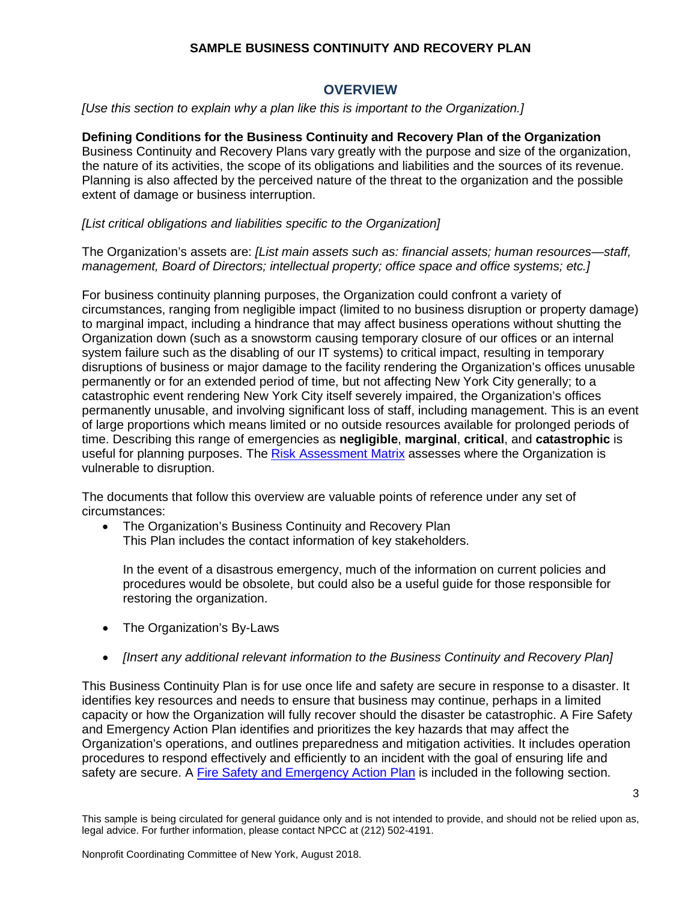### **OVERVIEW**

<span id="page-2-0"></span>*[Use this section to explain why a plan like this is important to the Organization.]*

#### **Defining Conditions for the Business Continuity and Recovery Plan of the Organization**

Business Continuity and Recovery Plans vary greatly with the purpose and size of the organization, the nature of its activities, the scope of its obligations and liabilities and the sources of its revenue. Planning is also affected by the perceived nature of the threat to the organization and the possible extent of damage or business interruption.

#### *[List critical obligations and liabilities specific to the Organization]*

The Organization's assets are: *[List main assets such as: financial assets; human resources—staff, management, Board of Directors; intellectual property; office space and office systems; etc.]*

For business continuity planning purposes, the Organization could confront a variety of circumstances, ranging from negligible impact (limited to no business disruption or property damage) to marginal impact, including a hindrance that may affect business operations without shutting the Organization down (such as a snowstorm causing temporary closure of our offices or an internal system failure such as the disabling of our IT systems) to critical impact, resulting in temporary disruptions of business or major damage to the facility rendering the Organization's offices unusable permanently or for an extended period of time, but not affecting New York City generally; to a catastrophic event rendering New York City itself severely impaired, the Organization's offices permanently unusable, and involving significant loss of staff, including management. This is an event of large proportions which means limited or no outside resources available for prolonged periods of time. Describing this range of emergencies as **negligible**, **marginal**, **critical**, and **catastrophic** is useful for planning purposes. The [Risk Assessment Matrix](#page-5-0) assesses where the Organization is vulnerable to disruption.

The documents that follow this overview are valuable points of reference under any set of circumstances:

• The Organization's Business Continuity and Recovery Plan This Plan includes the contact information of key stakeholders.

In the event of a disastrous emergency, much of the information on current policies and procedures would be obsolete, but could also be a useful guide for those responsible for restoring the organization.

- The Organization's By-Laws
- *[Insert any additional relevant information to the Business Continuity and Recovery Plan]*

This Business Continuity Plan is for use once life and safety are secure in response to a disaster. It identifies key resources and needs to ensure that business may continue, perhaps in a limited capacity or how the Organization will fully recover should the disaster be catastrophic. A Fire Safety and Emergency Action Plan identifies and prioritizes the key hazards that may affect the Organization's operations, and outlines preparedness and mitigation activities. It includes operation procedures to respond effectively and efficiently to an incident with the goal of ensuring life and safety are secure. A [Fire Safety and Emergency Action Plan](#page-3-0) is included in the following section.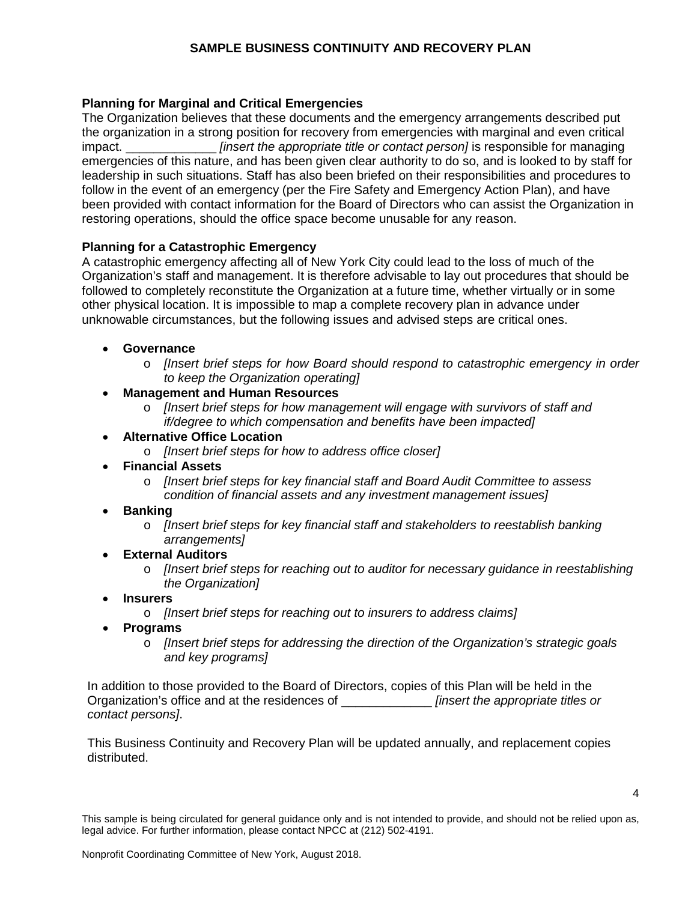### **Planning for Marginal and Critical Emergencies**

The Organization believes that these documents and the emergency arrangements described put the organization in a strong position for recovery from emergencies with marginal and even critical impact. \_\_\_\_\_\_\_\_\_\_\_\_\_ *[insert the appropriate title or contact person]* is responsible for managing emergencies of this nature, and has been given clear authority to do so, and is looked to by staff for leadership in such situations. Staff has also been briefed on their responsibilities and procedures to follow in the event of an emergency (per the Fire Safety and Emergency Action Plan), and have been provided with contact information for the Board of Directors who can assist the Organization in restoring operations, should the office space become unusable for any reason.

#### **Planning for a Catastrophic Emergency**

A catastrophic emergency affecting all of New York City could lead to the loss of much of the Organization's staff and management. It is therefore advisable to lay out procedures that should be followed to completely reconstitute the Organization at a future time, whether virtually or in some other physical location. It is impossible to map a complete recovery plan in advance under unknowable circumstances, but the following issues and advised steps are critical ones.

#### • **Governance**

- o *[Insert brief steps for how Board should respond to catastrophic emergency in order to keep the Organization operating]*
- **Management and Human Resources**
	- o *[Insert brief steps for how management will engage with survivors of staff and if/degree to which compensation and benefits have been impacted]*
- **Alternative Office Location**
	- o *[Insert brief steps for how to address office closer]*
- **Financial Assets**
	- o *[Insert brief steps for key financial staff and Board Audit Committee to assess condition of financial assets and any investment management issues]*
- **Banking**
	- o *[Insert brief steps for key financial staff and stakeholders to reestablish banking arrangements]*
- **External Auditors**
	- o *[Insert brief steps for reaching out to auditor for necessary guidance in reestablishing the Organization]*
- **Insurers**
	- o *[Insert brief steps for reaching out to insurers to address claims]*
- **Programs**
	- o *[Insert brief steps for addressing the direction of the Organization's strategic goals and key programs]*

In addition to those provided to the Board of Directors, copies of this Plan will be held in the Organization's office and at the residences of \_\_\_\_\_\_\_\_\_\_\_\_\_ *[insert the appropriate titles or contact persons]*.

<span id="page-3-0"></span>This Business Continuity and Recovery Plan will be updated annually, and replacement copies distributed.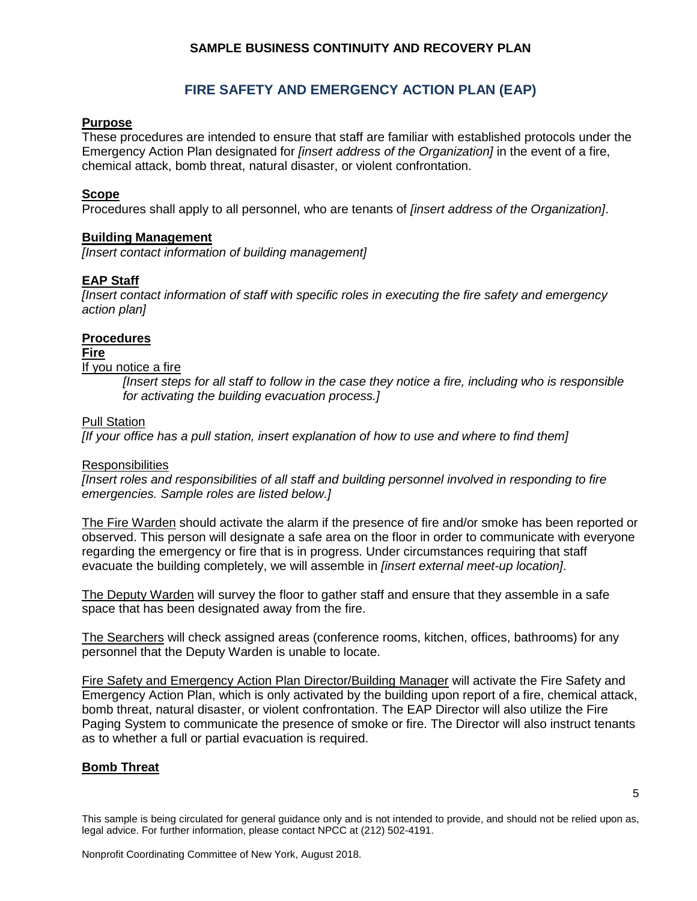### **FIRE SAFETY AND EMERGENCY ACTION PLAN (EAP)**

### <span id="page-4-0"></span>**Purpose**

These procedures are intended to ensure that staff are familiar with established protocols under the Emergency Action Plan designated for *[insert address of the Organization]* in the event of a fire, chemical attack, bomb threat, natural disaster, or violent confrontation.

#### **Scope**

Procedures shall apply to all personnel, who are tenants of *[insert address of the Organization]*.

#### **Building Management**

*[Insert contact information of building management]*

#### **EAP Staff**

*[Insert contact information of staff with specific roles in executing the fire safety and emergency action plan]*

#### **Procedures**

#### **Fire**

#### If you notice a fire

*[Insert steps for all staff to follow in the case they notice a fire, including who is responsible for activating the building evacuation process.]*

#### Pull Station

*[If your office has a pull station, insert explanation of how to use and where to find them]*

#### **Responsibilities**

*[Insert roles and responsibilities of all staff and building personnel involved in responding to fire emergencies. Sample roles are listed below.]*

The Fire Warden should activate the alarm if the presence of fire and/or smoke has been reported or observed. This person will designate a safe area on the floor in order to communicate with everyone regarding the emergency or fire that is in progress. Under circumstances requiring that staff evacuate the building completely, we will assemble in *[insert external meet-up location]*.

The Deputy Warden will survey the floor to gather staff and ensure that they assemble in a safe space that has been designated away from the fire.

The Searchers will check assigned areas (conference rooms, kitchen, offices, bathrooms) for any personnel that the Deputy Warden is unable to locate.

Fire Safety and Emergency Action Plan Director/Building Manager will activate the Fire Safety and Emergency Action Plan, which is only activated by the building upon report of a fire, chemical attack, bomb threat, natural disaster, or violent confrontation. The EAP Director will also utilize the Fire Paging System to communicate the presence of smoke or fire. The Director will also instruct tenants as to whether a full or partial evacuation is required.

### **Bomb Threat**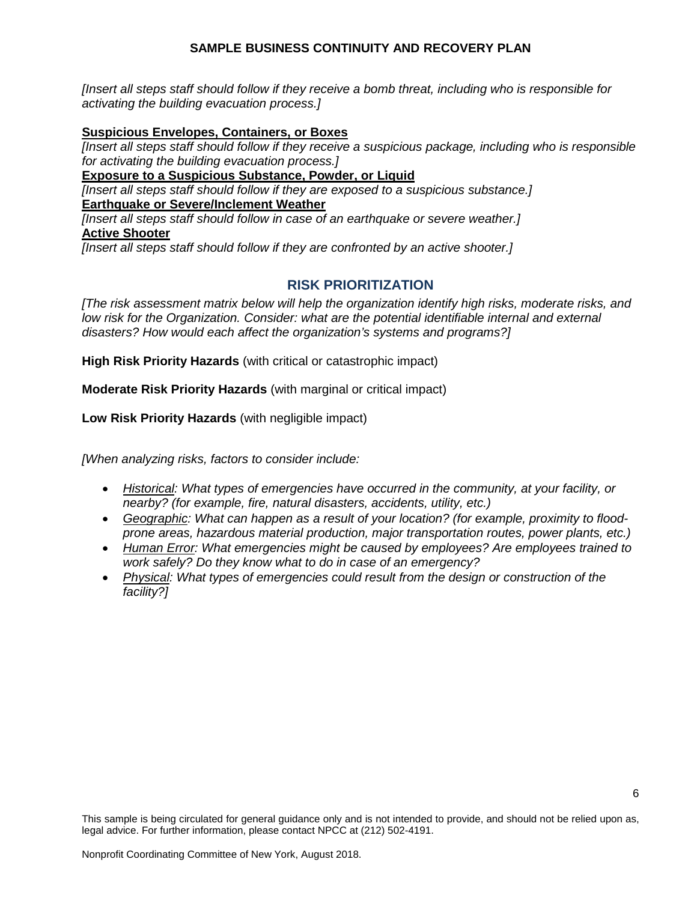*[Insert all steps staff should follow if they receive a bomb threat, including who is responsible for activating the building evacuation process.]* 

#### **Suspicious Envelopes, Containers, or Boxes**

*[Insert all steps staff should follow if they receive a suspicious package, including who is responsible for activating the building evacuation process.]* 

**Exposure to a Suspicious Substance, Powder, or Liquid**

*[Insert all steps staff should follow if they are exposed to a suspicious substance.]*  **Earthquake or Severe/Inclement Weather**

*[Insert all steps staff should follow in case of an earthquake or severe weather.]*  **Active Shooter**

<span id="page-5-0"></span>*[Insert all steps staff should follow if they are confronted by an active shooter.]* 

### **RISK PRIORITIZATION**

*[The risk assessment matrix below will help the organization identify high risks, moderate risks, and*  low risk for the Organization. Consider: what are the potential identifiable internal and external *disasters? How would each affect the organization's systems and programs?]*

<span id="page-5-1"></span>**High Risk Priority Hazards** (with critical or catastrophic impact)

<span id="page-5-2"></span>**Moderate Risk Priority Hazards** (with marginal or critical impact)

<span id="page-5-3"></span>**Low Risk Priority Hazards** (with negligible impact)

*[When analyzing risks, factors to consider include:*

- *Historical: What types of emergencies have occurred in the community, at your facility, or nearby? (for example, fire, natural disasters, accidents, utility, etc.)*
- *Geographic: What can happen as a result of your location? (for example, proximity to floodprone areas, hazardous material production, major transportation routes, power plants, etc.)*
- *Human Error: What emergencies might be caused by employees? Are employees trained to work safely? Do they know what to do in case of an emergency?*
- *Physical: What types of emergencies could result from the design or construction of the facility?]*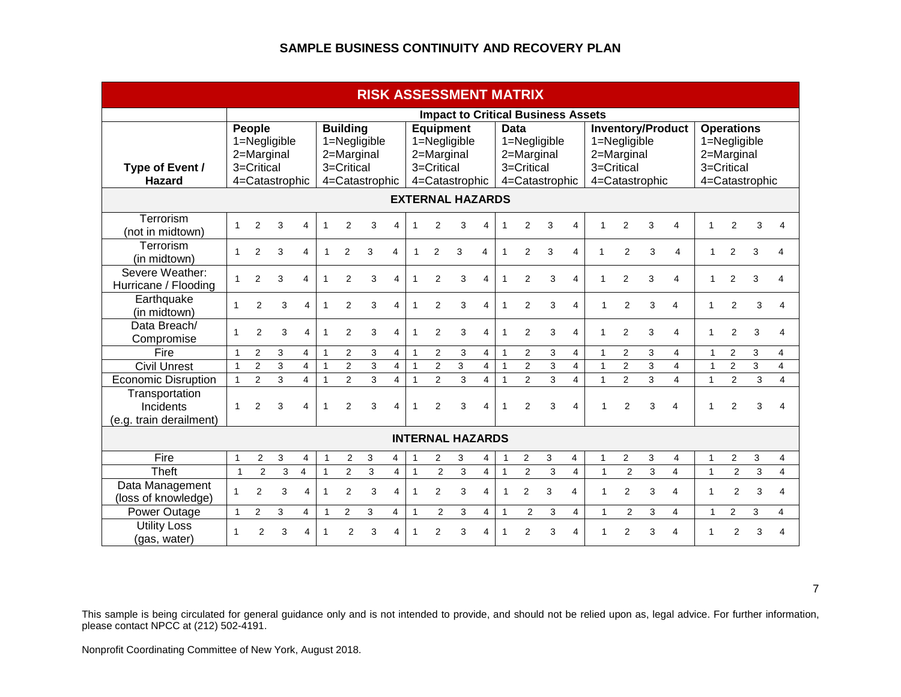| <b>RISK ASSESSMENT MATRIX</b>                          |                         |                                                                      |   |                         |              |                               |                                              |                         |                |                          |                                                    |                         |              |                                                                           |   |                         |                |                                          |                |                         |                                                               |                |                |                       |
|--------------------------------------------------------|-------------------------|----------------------------------------------------------------------|---|-------------------------|--------------|-------------------------------|----------------------------------------------|-------------------------|----------------|--------------------------|----------------------------------------------------|-------------------------|--------------|---------------------------------------------------------------------------|---|-------------------------|----------------|------------------------------------------|----------------|-------------------------|---------------------------------------------------------------|----------------|----------------|-----------------------|
|                                                        |                         |                                                                      |   |                         |              |                               |                                              |                         |                |                          |                                                    |                         |              | <b>Impact to Critical Business Assets</b>                                 |   |                         |                |                                          |                |                         |                                                               |                |                |                       |
| Type of Event /<br><b>Hazard</b>                       |                         | People<br>1=Negligible<br>2=Marginal<br>3=Critical<br>4=Catastrophic |   |                         |              | <b>Building</b><br>3=Critical | 1=Negligible<br>2=Marginal<br>4=Catastrophic |                         |                | 2=Marginal<br>3=Critical | <b>Equipment</b><br>1=Negligible<br>4=Catastrophic |                         |              | <b>Data</b><br>1=Negligible<br>2=Marginal<br>3=Critical<br>4=Catastrophic |   |                         |                | 1=Negligible<br>2=Marginal<br>3=Critical | 4=Catastrophic | Inventory/Product       | <b>Operations</b><br>1=Negligible<br>2=Marginal<br>3=Critical |                | 4=Catastrophic |                       |
|                                                        |                         |                                                                      |   |                         |              |                               |                                              |                         |                |                          | <b>EXTERNAL HAZARDS</b>                            |                         |              |                                                                           |   |                         |                |                                          |                |                         |                                                               |                |                |                       |
| Terrorism<br>(not in midtown)                          | $\mathbf{1}$            | $\overline{2}$                                                       | 3 | 4                       | 1            | $\overline{2}$                | 3                                            | Δ                       |                | $\overline{2}$           | 3                                                  | 4                       |              | $\overline{2}$                                                            | 3 | 4                       | $\mathbf 1$    | $\overline{2}$                           | 3              | 4                       | $\mathbf{1}$                                                  | $\overline{2}$ | 3              | Δ                     |
| <b>Terrorism</b><br>(in midtown)                       | $\mathbf{1}$            | $\overline{2}$                                                       | 3 | 4                       | $\mathbf{1}$ | 2                             | 3                                            | 4                       | $\mathbf{1}$   | $\overline{2}$           | 3                                                  | 4                       | $\mathbf{1}$ | 2                                                                         | 3 | 4                       | 1              | 2                                        | 3              | $\overline{\mathbf{A}}$ | $\mathbf{1}$                                                  | $\overline{2}$ | 3              | $\boldsymbol{\Delta}$ |
| Severe Weather:<br>Hurricane / Flooding                | 1                       | $\overline{2}$                                                       | 3 | 4                       | 1            | $\overline{2}$                | 3                                            | 4                       | 1              | $\overline{2}$           | 3                                                  | 4                       | $\mathbf 1$  | 2                                                                         | 3 | 4                       | $\mathbf 1$    | 2                                        | 3              | 4                       | $\mathbf{1}$                                                  | $\overline{2}$ | 3              | 4                     |
| Earthquake<br>(in midtown)                             | 1                       | 2                                                                    | 3 | 4                       | 1            | $\overline{2}$                | 3                                            | 4                       | $\mathbf{1}$   | 2                        | 3                                                  | 4                       | 1            | $\overline{2}$                                                            | 3 | $\overline{\mathbf{A}}$ | 1              | 2                                        | 3              | 4                       | 1                                                             | 2              | 3              | 4                     |
| Data Breach/<br>Compromise                             | 1                       | $\overline{2}$                                                       | 3 | 4                       | 1            | $\overline{2}$                | 3                                            | $\overline{\mathbf{A}}$ | 1              | $\overline{2}$           | 3                                                  | $\overline{\mathbf{4}}$ | $\mathbf{1}$ | $\overline{2}$                                                            | 3 | 4                       | $\mathbf 1$    | 2                                        | 3              | 4                       | 1                                                             | 2              | 3              | 4                     |
| Fire                                                   | $\mathbf{1}$            | $\overline{2}$                                                       | 3 | $\overline{4}$          | $\mathbf{1}$ | 2                             | 3                                            | $\overline{4}$          | $\overline{1}$ | $\overline{2}$           | 3                                                  | $\overline{4}$          | $\mathbf{1}$ | 2                                                                         | 3 | $\overline{4}$          | $\mathbf{1}$   | 2                                        | 3              | 4                       | $\mathbf{1}$                                                  | $\overline{2}$ | 3              | 4                     |
| <b>Civil Unrest</b>                                    | $\overline{1}$          | $\overline{2}$                                                       | 3 | 4                       | $\mathbf{1}$ | $\overline{2}$                | 3                                            | $\overline{4}$          | $\overline{1}$ | $\overline{2}$           | 3                                                  | $\overline{4}$          | $\mathbf{1}$ | $\overline{2}$                                                            | 3 | $\overline{4}$          | $\mathbf{1}$   | $\overline{2}$                           | 3              | $\overline{4}$          | $\mathbf{1}$                                                  | $\overline{2}$ | 3              | $\overline{4}$        |
| <b>Economic Disruption</b>                             | $\mathbf{1}$            | $\overline{2}$                                                       | 3 | 4                       | $\mathbf{1}$ | $\overline{2}$                | 3                                            | $\overline{4}$          | $\mathbf{1}$   | $\overline{2}$           | 3                                                  | $\overline{4}$          | $\mathbf{1}$ | $\overline{2}$                                                            | 3 | $\overline{4}$          | $\overline{1}$ | $\overline{2}$                           | 3              | 4                       | $\mathbf{1}$                                                  | $\overline{2}$ | 3              | 4                     |
| Transportation<br>Incidents<br>(e.g. train derailment) | $\mathbf{1}$            | $\overline{2}$                                                       | 3 | 4                       | $\mathbf{1}$ | $\overline{2}$                | 3                                            | $\overline{\mathbf{A}}$ | 1              | $\overline{2}$           | 3                                                  | $\overline{\mathbf{4}}$ | 1            | $\overline{2}$                                                            | 3 | $\overline{\mathbf{A}}$ | 4              | $\overline{2}$                           | 3              | 4                       | 1                                                             | $\overline{2}$ | 3              | $\Delta$              |
|                                                        | <b>INTERNAL HAZARDS</b> |                                                                      |   |                         |              |                               |                                              |                         |                |                          |                                                    |                         |              |                                                                           |   |                         |                |                                          |                |                         |                                                               |                |                |                       |
| Fire                                                   | $\mathbf{1}$            | $\overline{2}$                                                       | 3 | 4                       | $\mathbf{1}$ | 2                             | 3                                            | 4                       |                | 2                        | 3                                                  | 4                       | $\mathbf{1}$ | $\overline{2}$                                                            | 3 | 4                       | $\mathbf{1}$   | 2                                        | 3              | 4                       | $\mathbf{1}$                                                  | $\overline{2}$ | 3              | 4                     |
| Theft                                                  | $\mathbf{1}$            | $\overline{2}$                                                       | 3 | $\overline{\mathbf{4}}$ | $\mathbf{1}$ | $\overline{2}$                | 3                                            | $\overline{4}$          | $\mathbf{1}$   | $\overline{2}$           | 3                                                  | $\overline{4}$          | $\mathbf{1}$ | $\overline{2}$                                                            | 3 | $\overline{4}$          | $\mathbf{1}$   | $\overline{2}$                           | 3              | $\overline{\mathbf{4}}$ | $\mathbf{1}$                                                  | $\overline{2}$ | 3              | 4                     |
| Data Management<br>(loss of knowledge)                 | $\mathbf{1}$            | $\overline{2}$                                                       | 3 | 4                       | $\mathbf{1}$ | $\overline{2}$                | 3                                            | $\overline{\mathbf{A}}$ | 1              | 2                        | 3                                                  | 4                       | $\mathbf{1}$ | $\overline{2}$                                                            | 3 | 4                       | 1              | 2                                        | 3              | 4                       | 1                                                             | $\overline{2}$ | 3              | 4                     |
| Power Outage                                           | $\mathbf{1}$            | $\overline{2}$                                                       | 3 | 4                       | $\mathbf{1}$ | $\overline{2}$                | 3                                            | 4                       | 1              | 2                        | 3                                                  | $\overline{4}$          | $\mathbf{1}$ | $\overline{2}$                                                            | 3 | $\overline{4}$          | 1              | 2                                        | 3              | 4                       | $\mathbf{1}$                                                  | $\overline{2}$ | 3              | 4                     |
| <b>Utility Loss</b><br>(gas, water)                    | 1                       | $\mathfrak{p}$                                                       | 3 | 4                       | 1            | $\mathfrak{p}$                | 3                                            | 4                       | $\mathbf{1}$   | $\mathfrak{p}$           | 3                                                  | 4                       | 1            | $\mathfrak{p}$                                                            | 3 | 4                       |                | $\overline{2}$                           | 3              | 4                       | 1                                                             | $\overline{2}$ | 3              | 4                     |

This sample is being circulated for general guidance only and is not intended to provide, and should not be relied upon as, legal advice. For further information, please contact NPCC at (212) 502-4191.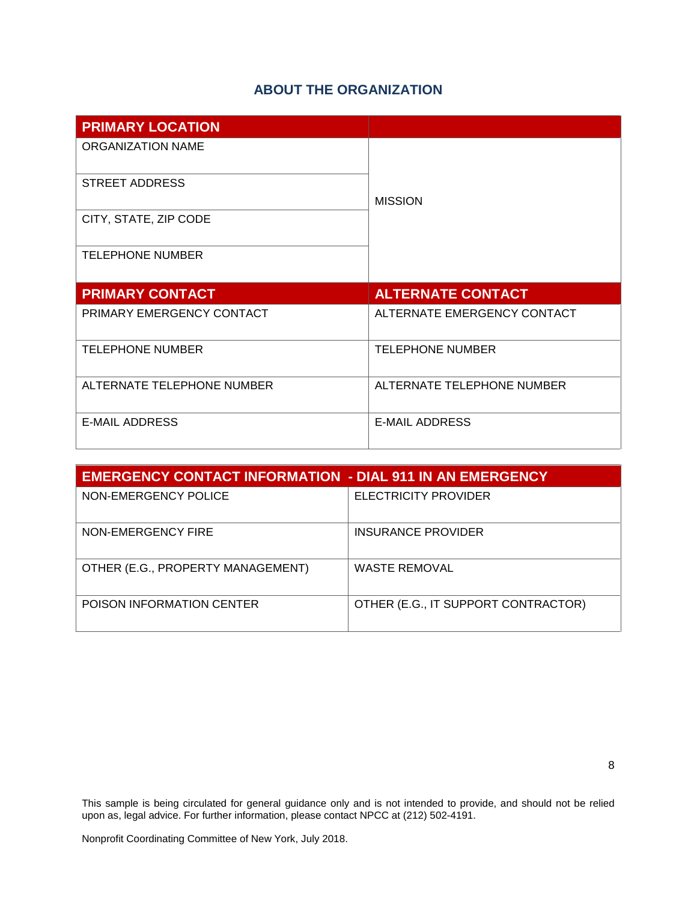# **ABOUT THE ORGANIZATION**

<span id="page-7-0"></span>

| <b>PRIMARY LOCATION</b>    |                             |  |  |  |  |
|----------------------------|-----------------------------|--|--|--|--|
| ORGANIZATION NAME          |                             |  |  |  |  |
| <b>STREET ADDRESS</b>      | <b>MISSION</b>              |  |  |  |  |
| CITY, STATE, ZIP CODE      |                             |  |  |  |  |
| <b>TELEPHONE NUMBER</b>    |                             |  |  |  |  |
|                            |                             |  |  |  |  |
| <b>PRIMARY CONTACT</b>     | <b>ALTERNATE CONTACT</b>    |  |  |  |  |
| PRIMARY EMERGENCY CONTACT  | ALTERNATE EMERGENCY CONTACT |  |  |  |  |
| <b>TELEPHONE NUMBER</b>    | <b>TELEPHONE NUMBER</b>     |  |  |  |  |
| ALTERNATE TELEPHONE NUMBER | ALTERNATE TELEPHONE NUMBER  |  |  |  |  |

| <b>EMERGENCY CONTACT INFORMATION - DIAL 911 IN AN EMERGENCY</b> |                                     |  |  |  |
|-----------------------------------------------------------------|-------------------------------------|--|--|--|
| NON-EMERGENCY POLICE                                            | ELECTRICITY PROVIDER                |  |  |  |
| NON-EMERGENCY FIRE                                              | INSURANCE PROVIDER                  |  |  |  |
| OTHER (E.G., PROPERTY MANAGEMENT)                               | <b>WASTE REMOVAL</b>                |  |  |  |
| POISON INFORMATION CENTER                                       | OTHER (E.G., IT SUPPORT CONTRACTOR) |  |  |  |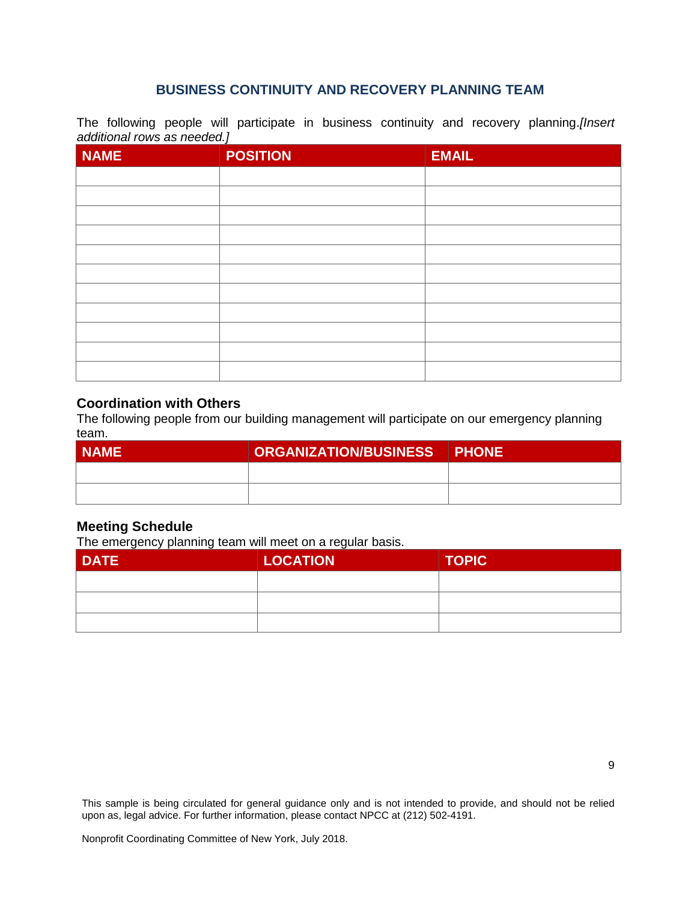### <span id="page-8-0"></span>**BUSINESS CONTINUITY AND RECOVERY PLANNING TEAM**

The following people will participate in business continuity and recovery planning.*[Insert additional rows as needed.]*

| <b>NAME</b> | <b>POSITION</b> | <b>EMAIL</b> |
|-------------|-----------------|--------------|
|             |                 |              |
|             |                 |              |
|             |                 |              |
|             |                 |              |
|             |                 |              |
|             |                 |              |
|             |                 |              |
|             |                 |              |
|             |                 |              |
|             |                 |              |
|             |                 |              |

#### **Coordination with Others**

The following people from our building management will participate on our emergency planning team.

| I NAME' | ORGANIZATION/BUSINESS PHONE |  |
|---------|-----------------------------|--|
|         |                             |  |
|         |                             |  |

### **Meeting Schedule**

The emergency planning team will meet on a regular basis.

| <b>DATE</b> | <b>LOCATION</b> | <b>TOPIC</b> |
|-------------|-----------------|--------------|
|             |                 |              |
|             |                 |              |
|             |                 |              |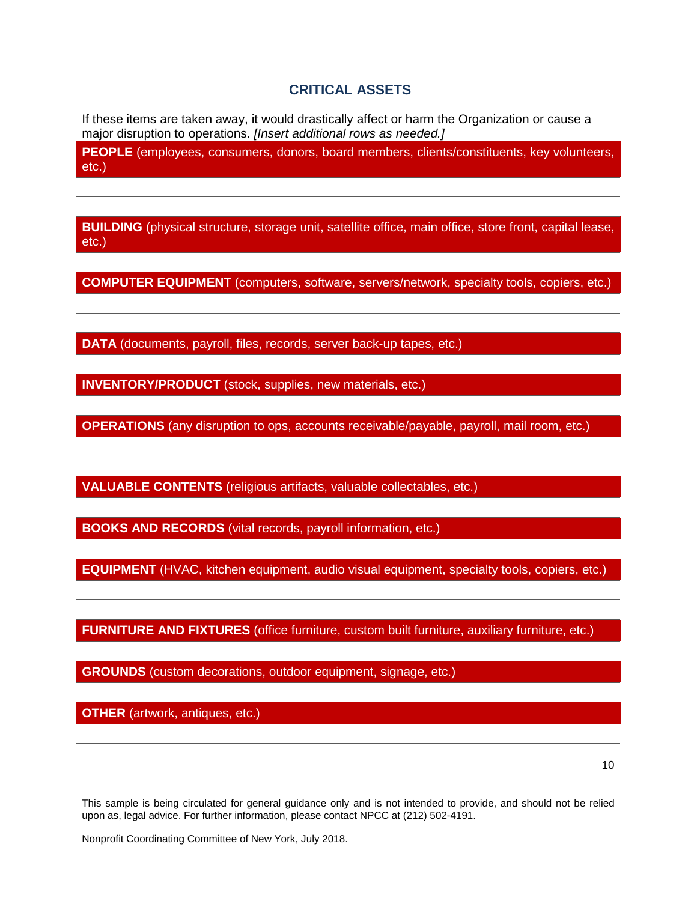# <span id="page-9-0"></span>**CRITICAL ASSETS**

If these items are taken away, it would drastically affect or harm the Organization or cause a major disruption to operations. *[Insert additional rows as needed.]*

| <b>PEOPLE</b> (employees, consumers, donors, board members, clients/constituents, key volunteers,<br>$etc.$ )      |
|--------------------------------------------------------------------------------------------------------------------|
|                                                                                                                    |
|                                                                                                                    |
| BUILDING (physical structure, storage unit, satellite office, main office, store front, capital lease,<br>$etc.$ ) |
|                                                                                                                    |
| <b>COMPUTER EQUIPMENT</b> (computers, software, servers/network, specialty tools, copiers, etc.)                   |
|                                                                                                                    |
|                                                                                                                    |
| DATA (documents, payroll, files, records, server back-up tapes, etc.)                                              |
|                                                                                                                    |
| <b>INVENTORY/PRODUCT</b> (stock, supplies, new materials, etc.)                                                    |
|                                                                                                                    |
| <b>OPERATIONS</b> (any disruption to ops, accounts receivable/payable, payroll, mail room, etc.)                   |
|                                                                                                                    |
|                                                                                                                    |
| <b>VALUABLE CONTENTS</b> (religious artifacts, valuable collectables, etc.)                                        |
|                                                                                                                    |
| <b>BOOKS AND RECORDS</b> (vital records, payroll information, etc.)                                                |
|                                                                                                                    |
| <b>EQUIPMENT</b> (HVAC, kitchen equipment, audio visual equipment, specialty tools, copiers, etc.)                 |
|                                                                                                                    |
|                                                                                                                    |
| <b>FURNITURE AND FIXTURES</b> (office furniture, custom built furniture, auxiliary furniture, etc.)                |
|                                                                                                                    |
| <b>GROUNDS</b> (custom decorations, outdoor equipment, signage, etc.)                                              |
|                                                                                                                    |
| <b>OTHER</b> (artwork, antiques, etc.)                                                                             |
|                                                                                                                    |
|                                                                                                                    |

10

This sample is being circulated for general guidance only and is not intended to provide, and should not be relied upon as, legal advice. For further information, please contact NPCC at (212) 502-4191.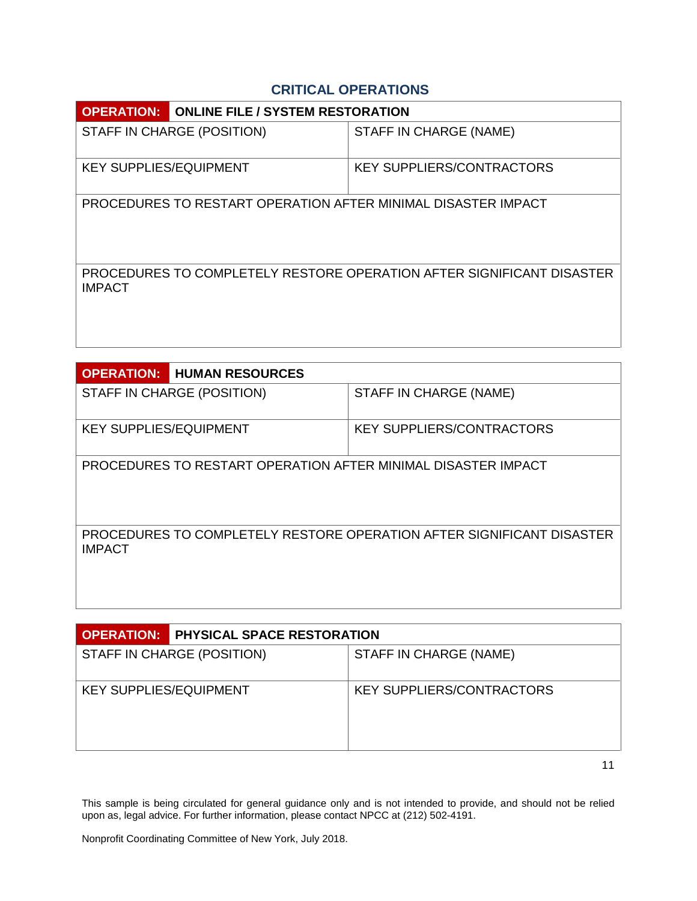# <span id="page-10-0"></span>**CRITICAL OPERATIONS**

| <b>OPERATION:</b>                                             | <b>ONLINE FILE / SYSTEM RESTORATION</b> |                                                                       |  |  |  |
|---------------------------------------------------------------|-----------------------------------------|-----------------------------------------------------------------------|--|--|--|
| STAFF IN CHARGE (POSITION)                                    |                                         | STAFF IN CHARGE (NAME)                                                |  |  |  |
| <b>KEY SUPPLIES/EQUIPMENT</b>                                 |                                         | <b>KEY SUPPLIERS/CONTRACTORS</b>                                      |  |  |  |
| PROCEDURES TO RESTART OPERATION AFTER MINIMAL DISASTER IMPACT |                                         |                                                                       |  |  |  |
| <b>IMPACT</b>                                                 |                                         | PROCEDURES TO COMPLETELY RESTORE OPERATION AFTER SIGNIFICANT DISASTER |  |  |  |

| <b>OPERATION:</b>                                             | <b>HUMAN RESOURCES</b>     |                                                                       |  |  |  |  |
|---------------------------------------------------------------|----------------------------|-----------------------------------------------------------------------|--|--|--|--|
|                                                               | STAFF IN CHARGE (POSITION) | STAFF IN CHARGE (NAME)                                                |  |  |  |  |
| <b>KEY SUPPLIES/EQUIPMENT</b>                                 |                            | <b>KEY SUPPLIERS/CONTRACTORS</b>                                      |  |  |  |  |
| PROCEDURES TO RESTART OPERATION AFTER MINIMAL DISASTER IMPACT |                            |                                                                       |  |  |  |  |
| <b>IMPACT</b>                                                 |                            | PROCEDURES TO COMPLETELY RESTORE OPERATION AFTER SIGNIFICANT DISASTER |  |  |  |  |

|                               | <b>OPERATION:</b> PHYSICAL SPACE RESTORATION |                           |  |  |  |
|-------------------------------|----------------------------------------------|---------------------------|--|--|--|
|                               | STAFF IN CHARGE (POSITION)                   | STAFF IN CHARGE (NAME)    |  |  |  |
| <b>KEY SUPPLIES/EQUIPMENT</b> |                                              | KEY SUPPLIERS/CONTRACTORS |  |  |  |

11

This sample is being circulated for general guidance only and is not intended to provide, and should not be relied upon as, legal advice. For further information, please contact NPCC at (212) 502-4191.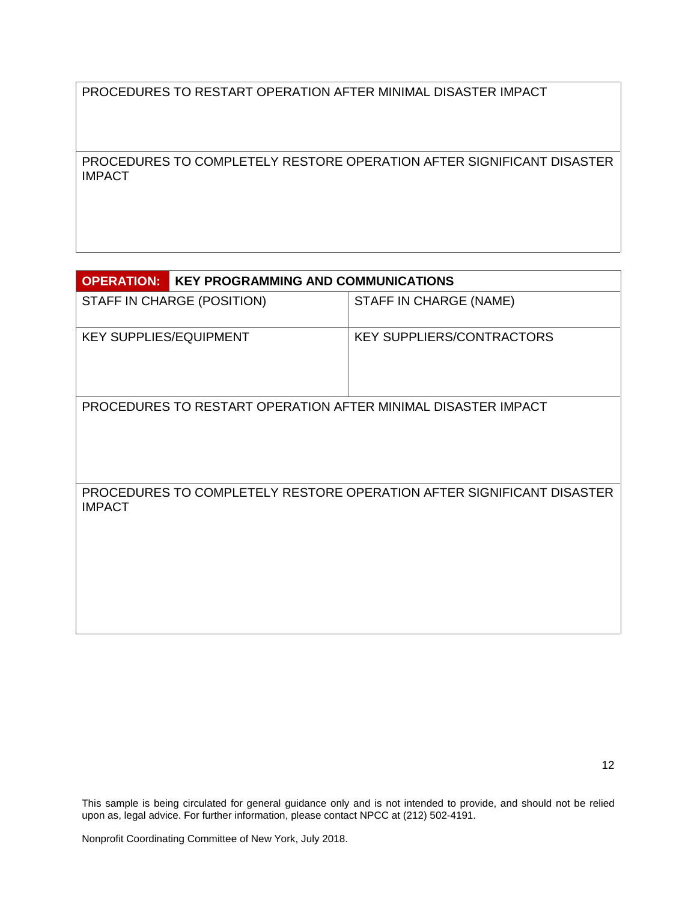PROCEDURES TO RESTART OPERATION AFTER MINIMAL DISASTER IMPACT

PROCEDURES TO COMPLETELY RESTORE OPERATION AFTER SIGNIFICANT DISASTER IMPACT

| <b>OPERATION:</b><br><b>KEY PROGRAMMING AND COMMUNICATIONS</b> |                                                                       |
|----------------------------------------------------------------|-----------------------------------------------------------------------|
| STAFF IN CHARGE (POSITION)                                     | STAFF IN CHARGE (NAME)                                                |
| <b>KEY SUPPLIES/EQUIPMENT</b>                                  | <b>KEY SUPPLIERS/CONTRACTORS</b>                                      |
| PROCEDURES TO RESTART OPERATION AFTER MINIMAL DISASTER IMPACT  |                                                                       |
| <b>IMPACT</b>                                                  | PROCEDURES TO COMPLETELY RESTORE OPERATION AFTER SIGNIFICANT DISASTER |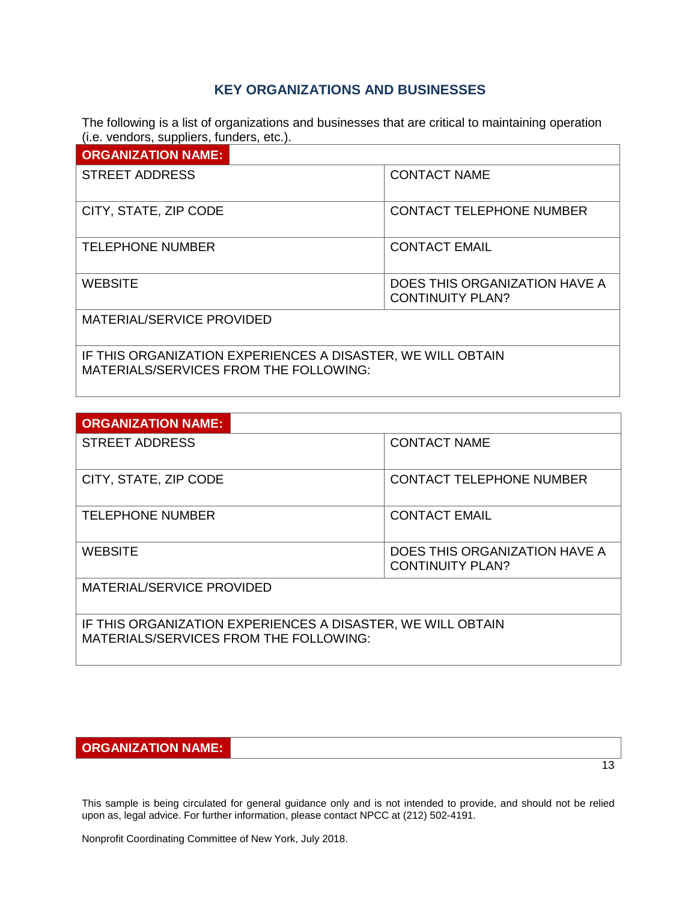### <span id="page-12-0"></span>**KEY ORGANIZATIONS AND BUSINESSES**

The following is a list of organizations and businesses that are critical to maintaining operation (i.e. vendors, suppliers, funders, etc.).

| <b>ORGANIZATION NAME:</b>                                    |                                                          |  |
|--------------------------------------------------------------|----------------------------------------------------------|--|
| <b>STREET ADDRESS</b>                                        | <b>CONTACT NAME</b>                                      |  |
| CITY, STATE, ZIP CODE                                        | <b>CONTACT TELEPHONE NUMBER</b>                          |  |
| <b>TELEPHONE NUMBER</b>                                      | <b>CONTACT EMAIL</b>                                     |  |
| <b>WEBSITE</b>                                               | DOES THIS ORGANIZATION HAVE A<br><b>CONTINUITY PLAN?</b> |  |
| MATERIAL/SERVICE PROVIDED                                    |                                                          |  |
| IF THIO ODO ANIZATION FVOEDIENOEO A DIOAOTED IME MILL ODTAIN |                                                          |  |

IF THIS ORGANIZATION EXPERIENCES A DISASTER, WE WILL OBTAIN MATERIALS/SERVICES FROM THE FOLLOWING:

| <b>ORGANIZATION NAME:</b>                                                  |                                 |  |
|----------------------------------------------------------------------------|---------------------------------|--|
| <b>STREET ADDRESS</b>                                                      | <b>CONTACT NAME</b>             |  |
| CITY, STATE, ZIP CODE                                                      | <b>CONTACT TELEPHONE NUMBER</b> |  |
| <b>TELEPHONE NUMBER</b>                                                    | <b>CONTACT EMAIL</b>            |  |
| <b>WEBSITE</b><br>DOES THIS ORGANIZATION HAVE A<br><b>CONTINUITY PLAN?</b> |                                 |  |
| MATERIAL/SERVICE PROVIDED                                                  |                                 |  |
| IF THIS ORGANIZATION EXPERIENCES A DISASTER, WE WILL OBTAIN                |                                 |  |

MATERIALS/SERVICES FROM THE FOLLOWING:

# **ORGANIZATION NAME:**

This sample is being circulated for general guidance only and is not intended to provide, and should not be relied upon as, legal advice. For further information, please contact NPCC at (212) 502-4191.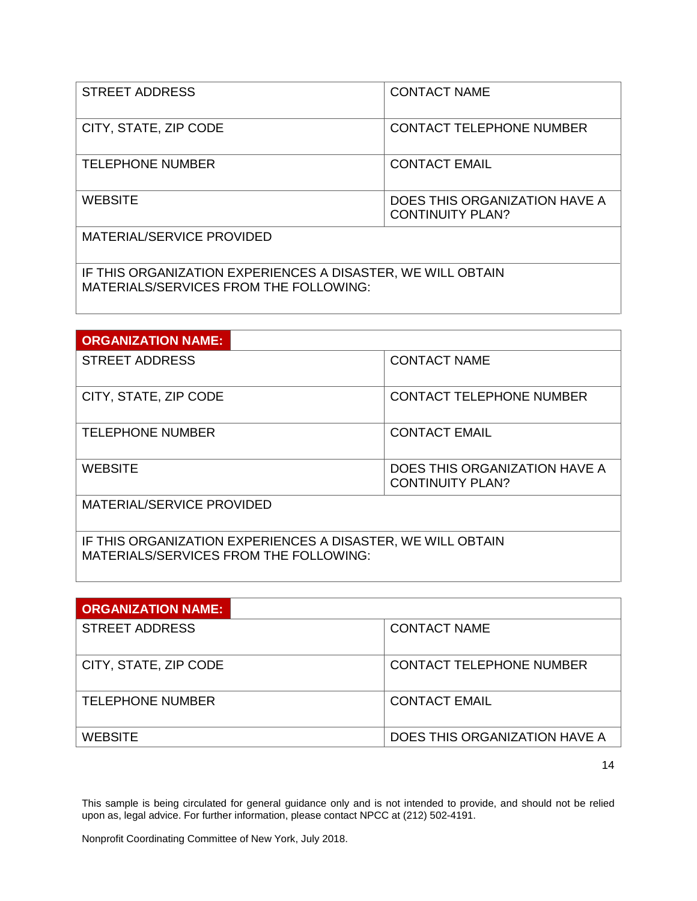| <b>STREET ADDRESS</b>     | <b>CONTACT NAME</b>                                      |  |  |
|---------------------------|----------------------------------------------------------|--|--|
| CITY, STATE, ZIP CODE     | <b>CONTACT TELEPHONE NUMBER</b>                          |  |  |
| <b>TELEPHONE NUMBER</b>   | <b>CONTACT EMAIL</b>                                     |  |  |
| <b>WEBSITE</b>            | DOES THIS ORGANIZATION HAVE A<br><b>CONTINUITY PLAN?</b> |  |  |
| MATERIAL/SERVICE PROVIDED |                                                          |  |  |
|                           |                                                          |  |  |

IF THIS ORGANIZATION EXPERIENCES A DISASTER, WE WILL OBTAIN MATERIALS/SERVICES FROM THE FOLLOWING:

| <b>ORGANIZATION NAME:</b>                                                                             |                                                          |  |  |
|-------------------------------------------------------------------------------------------------------|----------------------------------------------------------|--|--|
| <b>STREET ADDRESS</b>                                                                                 | <b>CONTACT NAME</b>                                      |  |  |
| CITY, STATE, ZIP CODE                                                                                 | <b>CONTACT TELEPHONE NUMBER</b>                          |  |  |
| <b>TELEPHONE NUMBER</b>                                                                               | <b>CONTACT EMAIL</b>                                     |  |  |
| <b>WEBSITE</b>                                                                                        | DOES THIS ORGANIZATION HAVE A<br><b>CONTINUITY PLAN?</b> |  |  |
| MATERIAL/SERVICE PROVIDED                                                                             |                                                          |  |  |
| IF THIS ORGANIZATION EXPERIENCES A DISASTER, WE WILL OBTAIN<br>MATERIALS/SERVICES FROM THE FOLLOWING: |                                                          |  |  |

| <b>ORGANIZATION NAME:</b> |                               |
|---------------------------|-------------------------------|
| <b>STREET ADDRESS</b>     | CONTACT NAME                  |
| CITY, STATE, ZIP CODE     | CONTACT TELEPHONE NUMBER      |
| <b>TELEPHONE NUMBER</b>   | <b>CONTACT EMAIL</b>          |
| <b>WEBSITE</b>            | DOES THIS ORGANIZATION HAVE A |

14

This sample is being circulated for general guidance only and is not intended to provide, and should not be relied upon as, legal advice. For further information, please contact NPCC at (212) 502-4191.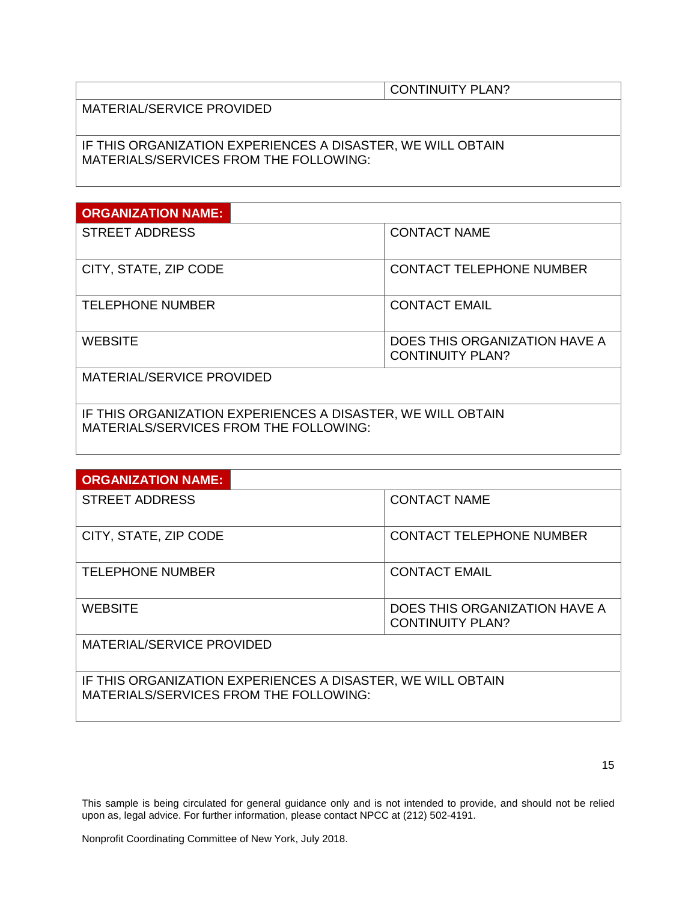MATERIAL/SERVICE PROVIDED

IF THIS ORGANIZATION EXPERIENCES A DISASTER, WE WILL OBTAIN MATERIALS/SERVICES FROM THE FOLLOWING:

| <b>ORGANIZATION NAME:</b> |                                                          |
|---------------------------|----------------------------------------------------------|
| <b>STREET ADDRESS</b>     | <b>CONTACT NAME</b>                                      |
| CITY, STATE, ZIP CODE     | <b>CONTACT TELEPHONE NUMBER</b>                          |
| <b>TELEPHONE NUMBER</b>   | <b>CONTACT EMAIL</b>                                     |
| <b>WEBSITE</b>            | DOES THIS ORGANIZATION HAVE A<br><b>CONTINUITY PLAN?</b> |
| MATERIAL/SERVICE PROVIDED |                                                          |

IF THIS ORGANIZATION EXPERIENCES A DISASTER, WE WILL OBTAIN MATERIALS/SERVICES FROM THE FOLLOWING:

| <b>ORGANIZATION NAME:</b> |                                                          |
|---------------------------|----------------------------------------------------------|
| <b>STREET ADDRESS</b>     | <b>CONTACT NAME</b>                                      |
| CITY, STATE, ZIP CODE     | <b>CONTACT TELEPHONE NUMBER</b>                          |
| <b>TELEPHONE NUMBER</b>   | <b>CONTACT EMAIL</b>                                     |
| <b>WEBSITE</b>            | DOES THIS ORGANIZATION HAVE A<br><b>CONTINUITY PLAN?</b> |
| MATERIAL/SERVICE PROVIDED |                                                          |

IF THIS ORGANIZATION EXPERIENCES A DISASTER, WE WILL OBTAIN MATERIALS/SERVICES FROM THE FOLLOWING:

This sample is being circulated for general guidance only and is not intended to provide, and should not be relied upon as, legal advice. For further information, please contact NPCC at (212) 502-4191.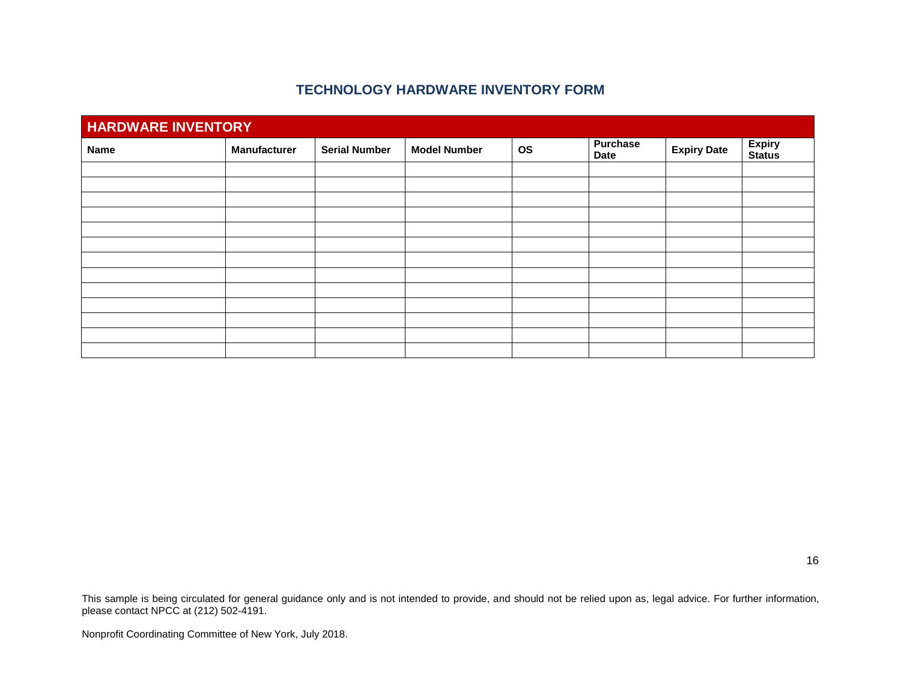### **TECHNOLOGY HARDWARE INVENTORY FORM**

<span id="page-15-0"></span>

| <b>HARDWARE INVENTORY</b> |                     |                      |                     |           |                                |                    |                                |
|---------------------------|---------------------|----------------------|---------------------|-----------|--------------------------------|--------------------|--------------------------------|
| <b>Name</b>               | <b>Manufacturer</b> | <b>Serial Number</b> | <b>Model Number</b> | <b>OS</b> | <b>Purchase</b><br><b>Date</b> | <b>Expiry Date</b> | <b>Expiry</b><br><b>Status</b> |
|                           |                     |                      |                     |           |                                |                    |                                |
|                           |                     |                      |                     |           |                                |                    |                                |
|                           |                     |                      |                     |           |                                |                    |                                |
|                           |                     |                      |                     |           |                                |                    |                                |
|                           |                     |                      |                     |           |                                |                    |                                |
|                           |                     |                      |                     |           |                                |                    |                                |
|                           |                     |                      |                     |           |                                |                    |                                |
|                           |                     |                      |                     |           |                                |                    |                                |
|                           |                     |                      |                     |           |                                |                    |                                |
|                           |                     |                      |                     |           |                                |                    |                                |
|                           |                     |                      |                     |           |                                |                    |                                |
|                           |                     |                      |                     |           |                                |                    |                                |
|                           |                     |                      |                     |           |                                |                    |                                |

16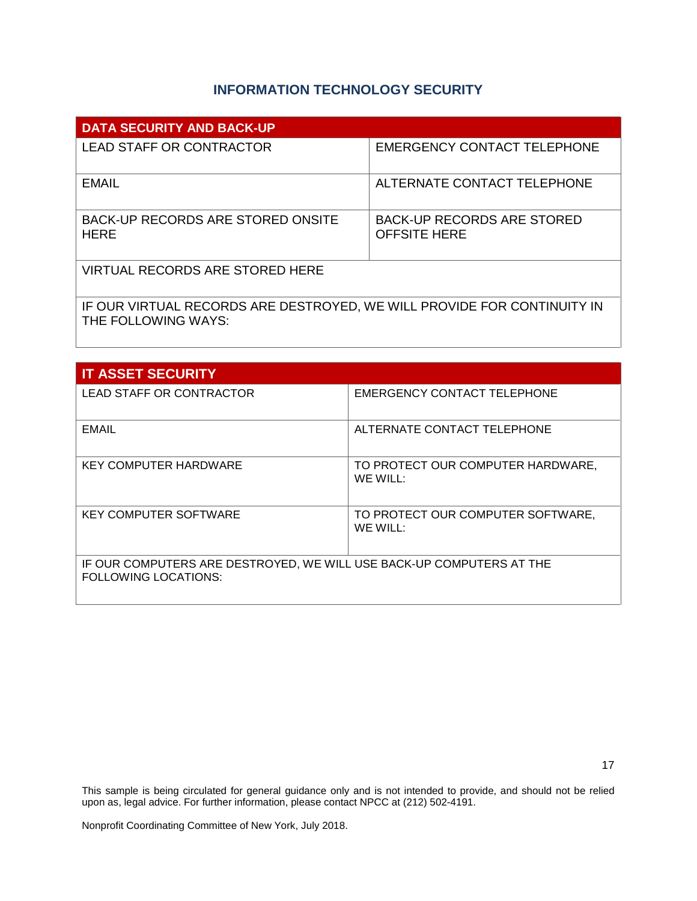# **INFORMATION TECHNOLOGY SECURITY**

<span id="page-16-0"></span>

| <b>DATA SECURITY AND BACK-UP</b>                                                               |                                                          |  |  |
|------------------------------------------------------------------------------------------------|----------------------------------------------------------|--|--|
| <b>LEAD STAFF OR CONTRACTOR</b>                                                                | <b>EMERGENCY CONTACT TELEPHONE</b>                       |  |  |
| <b>EMAIL</b>                                                                                   | ALTERNATE CONTACT TELEPHONE                              |  |  |
| BACK-UP RECORDS ARE STORED ONSITE<br><b>HERE</b>                                               | <b>BACK-UP RECORDS ARE STORED</b><br><b>OFFSITE HERE</b> |  |  |
| VIRTUAL RECORDS ARE STORED HERE                                                                |                                                          |  |  |
| IF OUR VIRTUAL RECORDS ARE DESTROYED, WE WILL PROVIDE FOR CONTINUITY IN<br>THE FOLLOWING WAYS: |                                                          |  |  |

| <b>IT ASSET SECURITY</b>                                                                            |                                               |  |  |
|-----------------------------------------------------------------------------------------------------|-----------------------------------------------|--|--|
| <b>LEAD STAFF OR CONTRACTOR</b>                                                                     | EMERGENCY CONTACT TELEPHONE                   |  |  |
| <b>EMAIL</b>                                                                                        | ALTERNATE CONTACT TELEPHONE                   |  |  |
| <b>KEY COMPUTER HARDWARE</b>                                                                        | TO PROTECT OUR COMPUTER HARDWARE,<br>WE WILL: |  |  |
| <b>KEY COMPUTER SOFTWARE</b>                                                                        | TO PROTECT OUR COMPUTER SOFTWARE,<br>WE WILL: |  |  |
| IF OUR COMPUTERS ARE DESTROYED, WE WILL USE BACK-UP COMPUTERS AT THE<br><b>FOLLOWING LOCATIONS:</b> |                                               |  |  |

This sample is being circulated for general guidance only and is not intended to provide, and should not be relied upon as, legal advice. For further information, please contact NPCC at (212) 502-4191.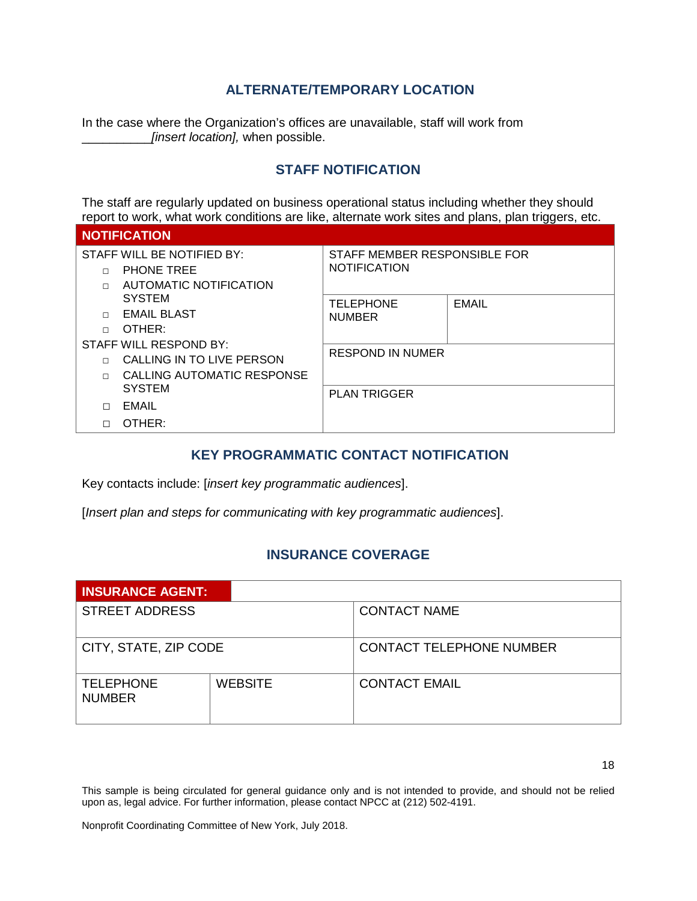### <span id="page-17-0"></span>**ALTERNATE/TEMPORARY LOCATION**

In the case where the Organization's offices are unavailable, staff will work from \_\_\_\_\_\_\_\_\_\_*[insert location],* when possible.

### **STAFF NOTIFICATION**

<span id="page-17-1"></span>The staff are regularly updated on business operational status including whether they should report to work, what work conditions are like, alternate work sites and plans, plan triggers, etc.

| <b>NOTIFICATION</b>                  |                              |              |
|--------------------------------------|------------------------------|--------------|
| STAFF WILL BE NOTIFIED BY:           | STAFF MEMBER RESPONSIBLE FOR |              |
| <b>PHONE TREE</b>                    | <b>NOTIFICATION</b>          |              |
| AUTOMATIC NOTIFICATION<br>П          |                              |              |
| <b>SYSTEM</b>                        | <b>TELEPHONE</b>             | <b>EMAIL</b> |
| <b>EMAIL BLAST</b><br>П              | <b>NUMBER</b>                |              |
| OTHER:<br>П                          |                              |              |
| STAFF WILL RESPOND BY:               |                              |              |
| CALLING IN TO LIVE PERSON            | <b>RESPOND IN NUMER</b>      |              |
| CALLING AUTOMATIC RESPONSE<br>$\Box$ |                              |              |
| <b>SYSTEM</b>                        | <b>PLAN TRIGGER</b>          |              |
| EMAIL                                |                              |              |
| OTHER:                               |                              |              |

### <span id="page-17-2"></span>**KEY PROGRAMMATIC CONTACT NOTIFICATION**

Key contacts include: [*insert key programmatic audiences*].

[*Insert plan and steps for communicating with key programmatic audiences*].

### **INSURANCE COVERAGE**

<span id="page-17-3"></span>

| <b>INSURANCE AGENT:</b>           |                |                                 |  |
|-----------------------------------|----------------|---------------------------------|--|
| <b>STREET ADDRESS</b>             |                | <b>CONTACT NAME</b>             |  |
| CITY, STATE, ZIP CODE             |                | <b>CONTACT TELEPHONE NUMBER</b> |  |
| <b>TELEPHONE</b><br><b>NUMBER</b> | <b>WEBSITE</b> | <b>CONTACT EMAIL</b>            |  |

18

This sample is being circulated for general guidance only and is not intended to provide, and should not be relied upon as, legal advice. For further information, please contact NPCC at (212) 502-4191.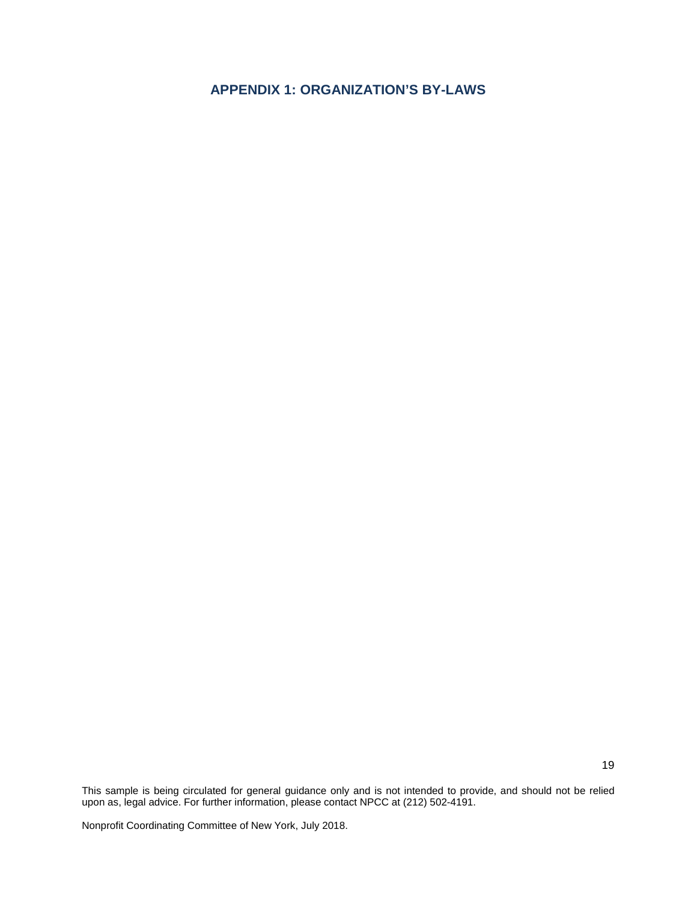## <span id="page-18-0"></span>**APPENDIX 1: ORGANIZATION'S BY-LAWS**

This sample is being circulated for general guidance only and is not intended to provide, and should not be relied upon as, legal advice. For further information, please contact NPCC at (212) 502-4191.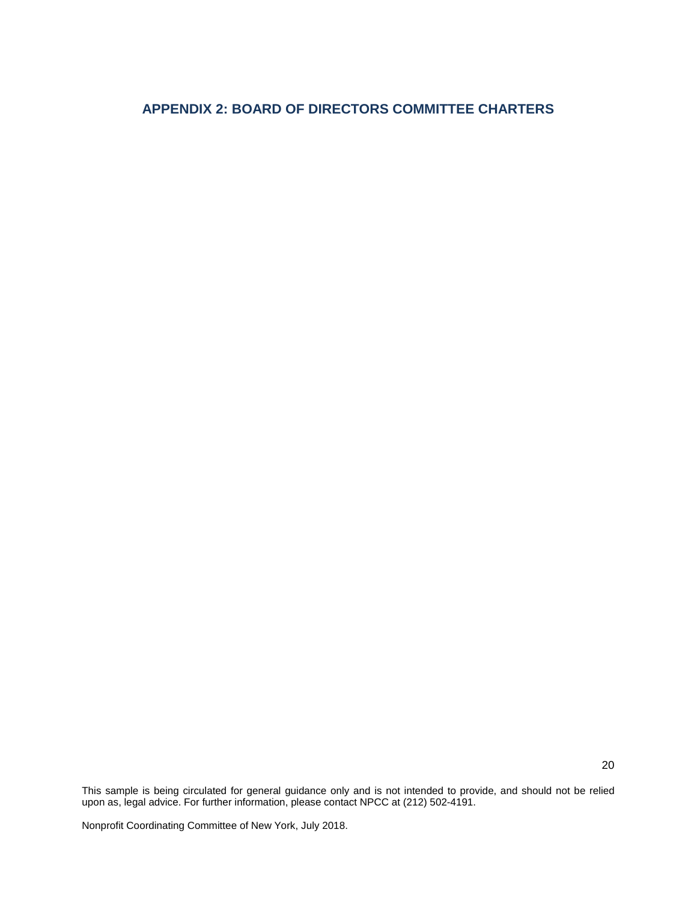# <span id="page-19-0"></span>**APPENDIX 2: BOARD OF DIRECTORS COMMITTEE CHARTERS**

This sample is being circulated for general guidance only and is not intended to provide, and should not be relied upon as, legal advice. For further information, please contact NPCC at (212) 502-4191.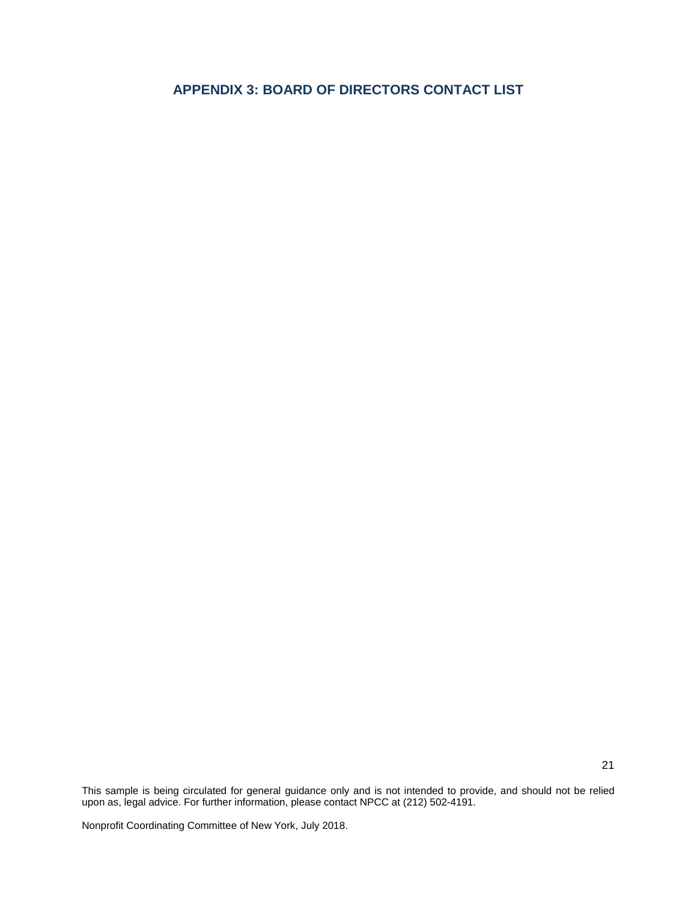# <span id="page-20-0"></span>**APPENDIX 3: BOARD OF DIRECTORS CONTACT LIST**

This sample is being circulated for general guidance only and is not intended to provide, and should not be relied upon as, legal advice. For further information, please contact NPCC at (212) 502-4191.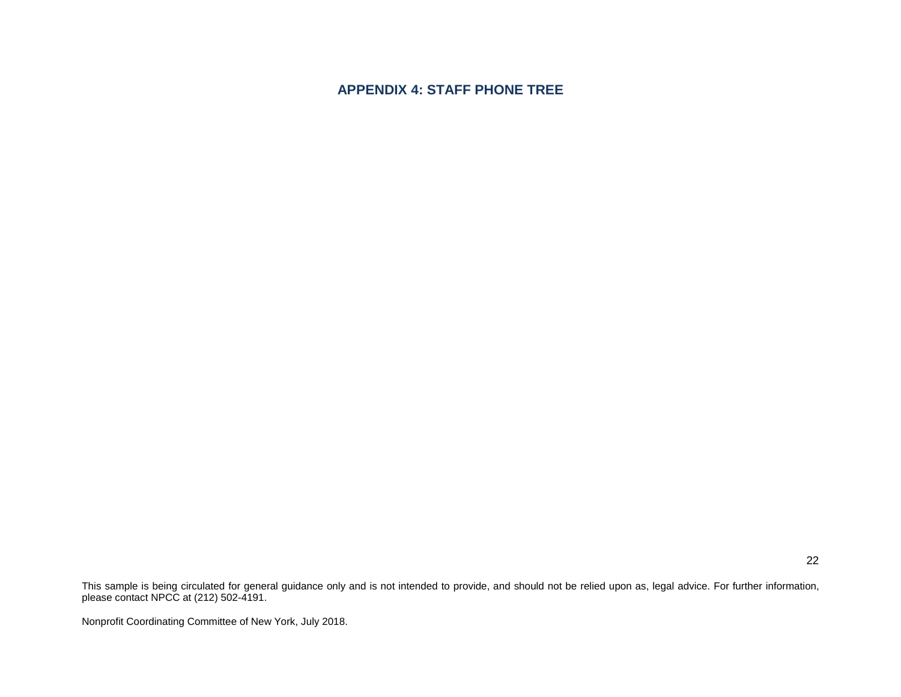## **APPENDIX 4: STAFF PHONE TREE**

<span id="page-21-0"></span>This sample is being circulated for general guidance only and is not intended to provide, and should not be relied upon as, legal advice. For further information, please contact NPCC at (212) 502-4191.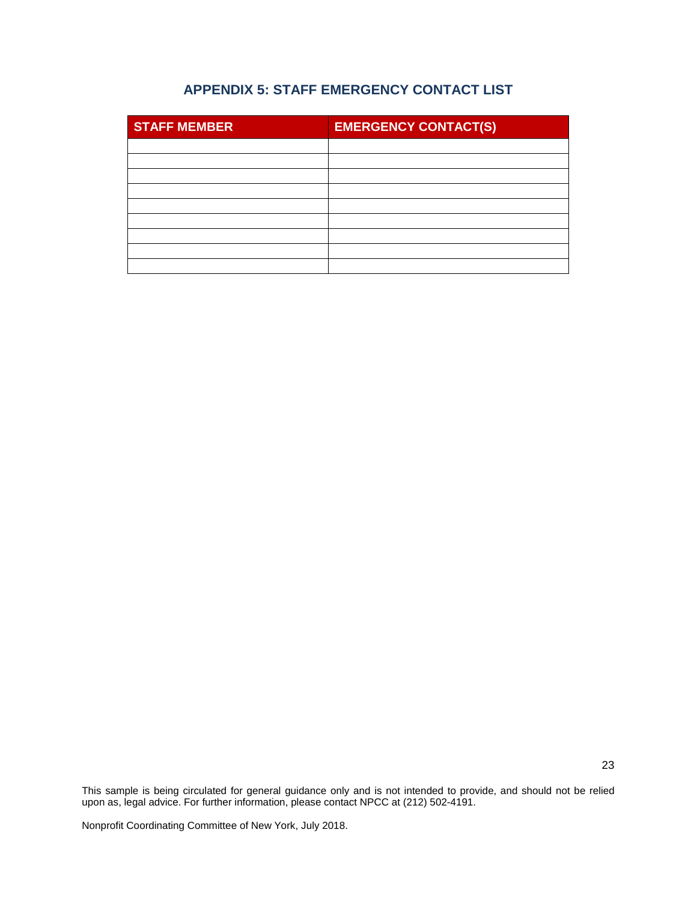# **APPENDIX 5: STAFF EMERGENCY CONTACT LIST**

<span id="page-22-0"></span>

| <b>STAFF MEMBER</b> | <b>EMERGENCY CONTACT(S)</b> |
|---------------------|-----------------------------|
|                     |                             |
|                     |                             |
|                     |                             |
|                     |                             |
|                     |                             |
|                     |                             |
|                     |                             |
|                     |                             |
|                     |                             |

This sample is being circulated for general guidance only and is not intended to provide, and should not be relied upon as, legal advice. For further information, please contact NPCC at (212) 502-4191.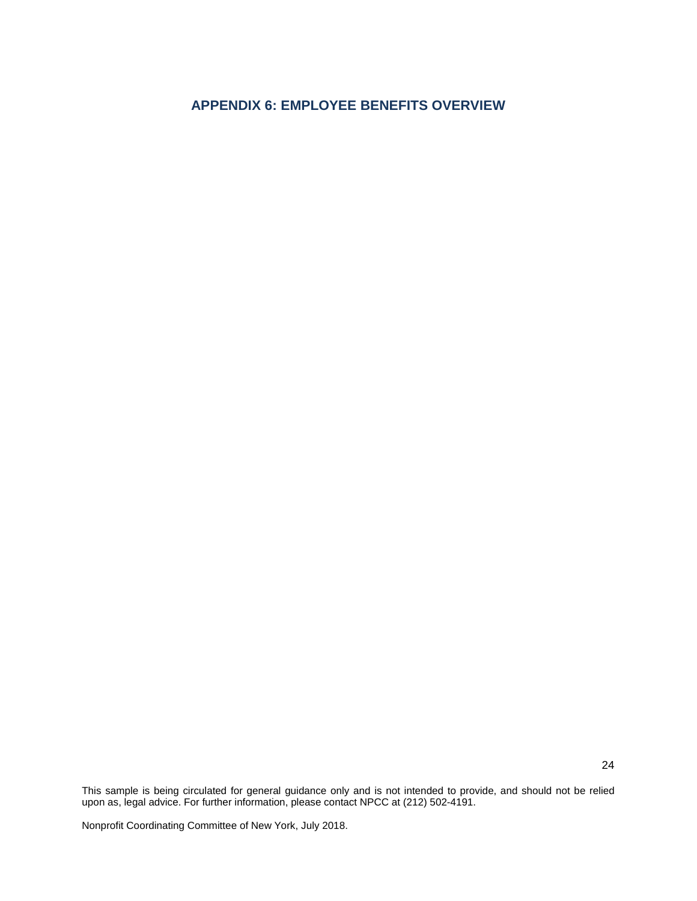# <span id="page-23-0"></span>**APPENDIX 6: EMPLOYEE BENEFITS OVERVIEW**

This sample is being circulated for general guidance only and is not intended to provide, and should not be relied upon as, legal advice. For further information, please contact NPCC at (212) 502-4191.